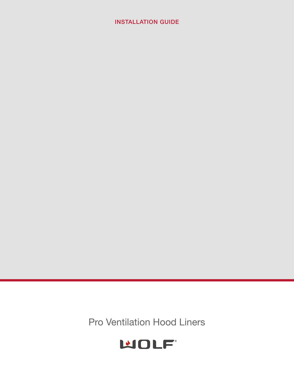# **INSTALLATION GUIDE**

Pro Ventilation Hood Liners

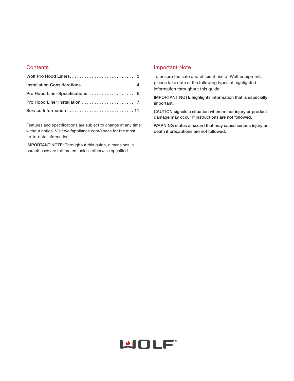# **Contents**

| Installation Considerations 4 |
|-------------------------------|
|                               |
|                               |
|                               |

Features and specifications are subject to change at any time without notice. Visit wolfappliance.com/specs for the most up-to-date information.

**IMPORTANT NOTE:** Throughout this guide, dimensions in parentheses are millimeters unless otherwise specified.

# Important Note

To ensure the safe and efficient use of Wolf equipment, please take note of the following types of highlighted information throughout this guide:

**IMPORTANT NOTE highlights information that is especially important.**

**CAUTION signals a situation where minor injury or product damage may occur if instructions are not followed.**

**WARNING states a hazard that may cause serious injury or death if precautions are not followed.**

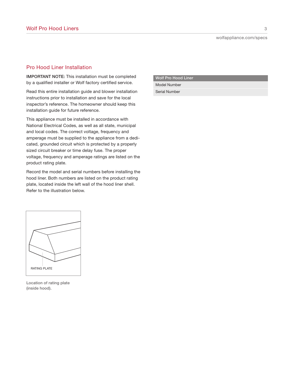# Pro Hood Liner Installation

**IMPORTANT NOTE:** This installation must be completed by a qualified installer or Wolf factory certified service.

Read this entire installation guide and blower installation instructions prior to installation and save for the local inspector's reference. The homeowner should keep this installation guide for future reference.

This appliance must be installed in accordance with National Electrical Codes, as well as all state, municipal and local codes. The correct voltage, frequency and amperage must be supplied to the appliance from a dedicated, grounded circuit which is protected by a properly sized circuit breaker or time delay fuse. The proper voltage, frequency and amperage ratings are listed on the product rating plate.

Record the model and serial numbers before installing the hood liner. Both numbers are listed on the product rating plate, located inside the left wall of the hood liner shell. Refer to the illustration below.

|  | <b>Wolf Pro Hood Liner</b> |  |
|--|----------------------------|--|
|  |                            |  |



**Location of rating plate (inside hood).**

| <b>Wolf Pro Hood Liner</b> |  |
|----------------------------|--|
| Model Number               |  |
| <b>Serial Number</b>       |  |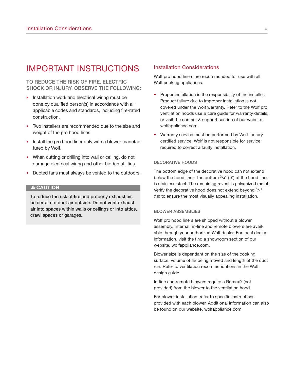# IMPORTANT INSTRUCTIONS

# **TO REDUCE THE RISK OF FIRE, ELECTRIC SHOCK OR INJURY, OBSERVE THE FOLLOWING:**

- Installation work and electrical wiring must be done by qualified person(s) in accordance with all applicable codes and standards, including fire-rated construction.
- Two installers are recommended due to the size and weight of the pro hood liner.
- Install the pro hood liner only with a blower manufactured by Wolf.
- When cutting or drilling into wall or ceiling, do not damage electrical wiring and other hidden utilities.
- Ducted fans must always be vented to the outdoors.

#### **A CAUTION**

**To reduce the risk of fire and properly exhaust air, be certain to duct air outside. Do not vent exhaust air into spaces within walls or ceilings or into attics, crawl spaces or garages.**

#### Installation Considerations

Wolf pro hood liners are recommended for use with all Wolf cooking appliances.

- Proper installation is the responsibility of the installer. Product failure due to improper installation is not covered under the Wolf warranty. Refer to the Wolf pro ventilation hoods use & care guide for warranty details, or visit the contact & support section of our website, wolfappliance.com.
- Warranty service must be performed by Wolf factory certified service. Wolf is not responsible for service required to correct a faulty installation.

#### **DECORATIVE HOODS**

The bottom edge of the decorative hood can not extend below the hood liner. The bottom  $3/4$ " (19) of the hood liner is stainless steel. The remaining reveal is galvanized metal. Verify the decorative hood does not extend beyond 3/4" (19) to ensure the most visually appealing installation.

#### **BLOWER ASSEMBLIES**

Wolf pro hood liners are shipped without a blower assembly. Internal, in-line and remote blowers are available through your authorized Wolf dealer. For local dealer information, visit the find a showroom section of our website, wolfappliance.com.

Blower size is dependant on the size of the cooking surface, volume of air being moved and length of the duct run. Refer to ventilation recommendations in the Wolf design guide.

In-line and remote blowers require a Romex® (not provided) from the blower to the ventilation hood.

For blower installation, refer to specific instructions provided with each blower. Additional information can also be found on our website, wolfappliance.com.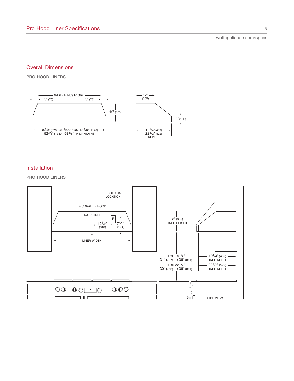wolfappliance.com/specs

# Overall Dimensions

**PRO HOOD LINERS**



# Installation

### **PRO HOOD LINERS**

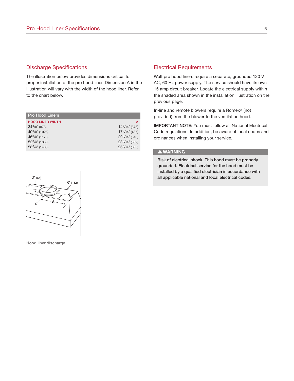# Discharge Specifications

The illustration below provides dimensions critical for proper installation of the pro hood liner. Dimension A in the illustration will vary with the width of the hood liner. Refer to the chart below.

| <b>Pro Hood Liners</b>  |                  |
|-------------------------|------------------|
| <b>HOOD LINER WIDTH</b> | A                |
| $343/8$ " (873)         | $143/16''$ (378) |
| $40^3$ /8" (1026)       | $173/16''$ (437) |
| $463/8"$ (1178)         | $203/16''$ (513) |
| $52^3/s''$ (1330)       | $233/16"$ (589)  |
| $583/8$ " (1483)        | $263/16"$ (665)  |

# Electrical Requirements

Wolf pro hood liners require a separate, grounded 120 V AC, 60 Hz power supply. The service should have its own 15 amp circuit breaker. Locate the electrical supply within the shaded area shown in the installation illustration on the previous page.

In-line and remote blowers require a Romex® (not provided) from the blower to the ventilation hood.

**IMPORTANT NOTE:** You must follow all National Electrical Code regulations. In addition, be aware of local codes and ordinances when installing your service.

### **A WARNING**

**Risk of electrical shock. This hood must be properly grounded. Electrical service for the hood must be installed by a qualified electrician in accordance with all applicable national and local electrical codes.**



**Hood liner discharge.**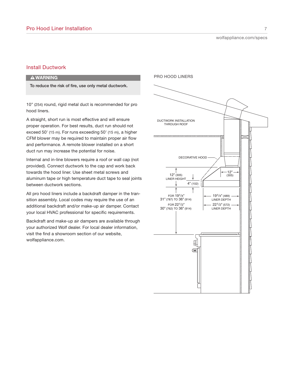# Install Ductwork

### **AWARNING**

**To reduce the risk of fire, use only metal ductwork.**

10" (254) round, rigid metal duct is recommended for pro hood liners.

A straight, short run is most effective and will ensure proper operation. For best results, duct run should not exceed 50' (15 m). For runs exceeding 50' (15 m), a higher CFM blower may be required to maintain proper air flow and performance. A remote blower installed on a short duct run may increase the potential for noise.

Internal and in-line blowers require a roof or wall cap (not provided). Connect ductwork to the cap and work back towards the hood liner. Use sheet metal screws and aluminum tape or high temperature duct tape to seal joints between ductwork sections.

All pro hood liners include a backdraft damper in the transition assembly. Local codes may require the use of an additional backdraft and/or make-up air damper. Contact your local HVAC professional for specific requirements.

Backdraft and make-up air dampers are available through your authorized Wolf dealer. For local dealer information, visit the find a showroom section of our website, wolfappliance.com.

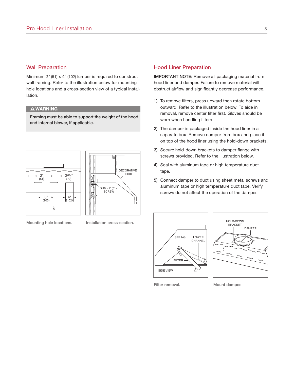### Wall Preparation

Minimum 2" (51) x 4" (102) lumber is required to construct wall framing. Refer to the illustration below for mounting hole locations and a cross-section view of a typical installation.

### **AWARNING**

**Framing must be able to support the weight of the hood and internal blower, if applicable.**





**Mounting hole locations. Installation cross-section.**

### Hood Liner Preparation

**IMPORTANT NOTE:** Remove all packaging material from hood liner and damper. Failure to remove material will obstruct airflow and significantly decrease performance.

- **1)** To remove filters, press upward then rotate bottom outward. Refer to the illustration below. To aide in removal, remove center filter first. Gloves should be worn when handling filters.
- **2)** The damper is packaged inside the hood liner in a separate box. Remove damper from box and place it on top of the hood liner using the hold-down brackets.
- **3)** Secure hold-down brackets to damper flange with screws provided. Refer to the illustration below.
- **4)** Seal with aluminum tape or high temperature duct tape.
- **5)** Connect damper to duct using sheet metal screws and aluminum tape or high temperature duct tape. Verify screws do not affect the operation of the damper.





**Filter removal. Mount damper.**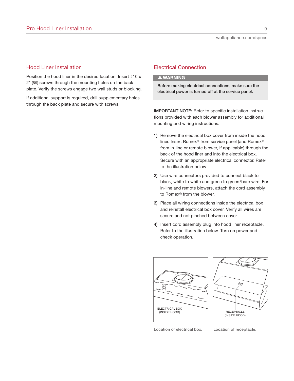### Hood Liner Installation

Position the hood liner in the desired location. Insert #10 x 2" (59) screws through the mounting holes on the back plate. Verify the screws engage two wall studs or blocking.

If additional support is required, drill supplementary holes through the back plate and secure with screws.

# Electrical Connection

### **AWARNING**

**Before making electrical connections, make sure the electrical power is turned off at the service panel.**

**IMPORTANT NOTE:** Refer to specific installation instructions provided with each blower assembly for additional mounting and wiring instructions.

- **1)** Remove the electrical box cover from inside the hood liner. Insert Romex® from service panel (and Romex® from in-line or remote blower, if applicable) through the back of the hood liner and into the electrical box. Secure with an appropriate electrical connector. Refer to the illustration below.
- **2)** Use wire connectors provided to connect black to black, white to white and green to green/bare wire. For in-line and remote blowers, attach the cord assembly to Romex® from the blower.
- **3)** Place all wiring connections inside the electrical box and reinstall electrical box cover. Verify all wires are secure and not pinched between cover.
- **4)** Insert cord assembly plug into hood liner receptacle. Refer to the illustration below. Turn on power and check operation.





**Location of electrical box. Location of receptacle.**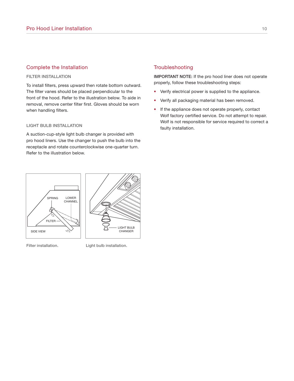# Complete the Installation

#### **FILTER INSTALLATION**

To install filters, press upward then rotate bottom outward. The filter vanes should be placed perpendicular to the front of the hood. Refer to the illustration below. To aide in removal, remove center filter first. Gloves should be worn when handling filters.

#### **LIGHT BULB INSTALLATION**

A suction-cup-style light bulb changer is provided with pro hood liners. Use the changer to push the bulb into the receptacle and rotate counterclockwise one-quarter turn. Refer to the illustration below.

# **Troubleshooting**

**IMPORTANT NOTE:** If the pro hood liner does not operate properly, follow these troubleshooting steps:

- Verify electrical power is supplied to the appliance.
- Verify all packaging material has been removed.
- If the appliance does not operate properly, contact Wolf factory certified service. Do not attempt to repair. Wolf is not responsible for service required to correct a faulty installation.



**Filter installation. Light bulb installation.**

LIGHT BULB CHANGER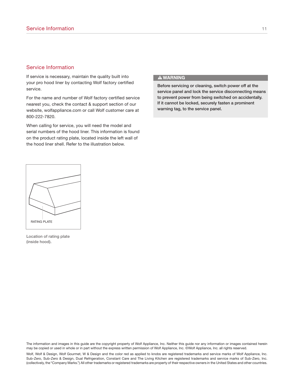# Service Information

If service is necessary, maintain the quality built into your pro hood liner by contacting Wolf factory certified service.

For the name and number of Wolf factory certified service nearest you, check the contact & support section of our website, wolfappliance.com or call Wolf customer care at 800-222-7820.

When calling for service, you will need the model and serial numbers of the hood liner. This information is found on the product rating plate, located inside the left wall of the hood liner shell. Refer to the illustration below.

#### **A WARNING**

**Before servicing or cleaning, switch power off at the service panel and lock the service disconnecting means to prevent power from being switched on accidentally. If it cannot be locked, securely fasten a prominent warning tag, to the service panel.**



**Location of rating plate (inside hood).**

The information and images in this guide are the copyright property of Wolf Appliance, Inc. Neither this guide nor any information or images contained herein may be copied or used in whole or in part without the express written permission of Wolf Appliance, Inc. @Wolf Appliance, Inc. all rights reserved.

Wolf, Wolf & Design, Wolf Gourmet, W & Design and the color red as applied to knobs are registered trademarks and service marks of Wolf Appliance, Inc. Sub-Zero, Sub-Zero & Design, Dual Refrigeration, Constant Care and The Living Kitchen are registered trademarks and service marks of Sub-Zero, Inc. (collectively, the "Company Marks.") All other trademarks or registered trademarks are property of their respective owners in the United States and other countries.